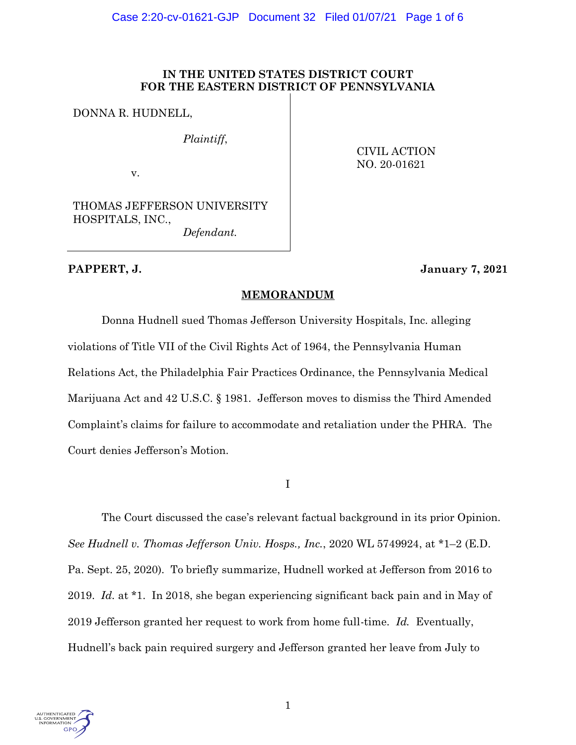# **IN THE UNITED STATES DISTRICT COURT FOR THE EASTERN DISTRICT OF PENNSYLVANIA**

DONNA R. HUDNELL,

*Plaintiff*,

v.

CIVIL ACTION NO. 20-01621

THOMAS JEFFERSON UNIVERSITY HOSPITALS, INC., *Defendant.*

# **PAPPERT, J. January 7, 2021**

# **MEMORANDUM**

Donna Hudnell sued Thomas Jefferson University Hospitals, Inc. alleging violations of Title VII of the Civil Rights Act of 1964, the Pennsylvania Human Relations Act, the Philadelphia Fair Practices Ordinance, the Pennsylvania Medical Marijuana Act and 42 U.S.C. § 1981. Jefferson moves to dismiss the Third Amended Complaint's claims for failure to accommodate and retaliation under the PHRA. The Court denies Jefferson's Motion.

I

The Court discussed the case's relevant factual background in its prior Opinion. *See Hudnell v. Thomas Jefferson Univ. Hosps., Inc.*, 2020 WL 5749924, at \*1–2 (E.D. Pa. Sept. 25, 2020). To briefly summarize, Hudnell worked at Jefferson from 2016 to 2019. *Id.* at \*1. In 2018, she began experiencing significant back pain and in May of 2019 Jefferson granted her request to work from home full-time. *Id.* Eventually, Hudnell's back pain required surgery and Jefferson granted her leave from July to

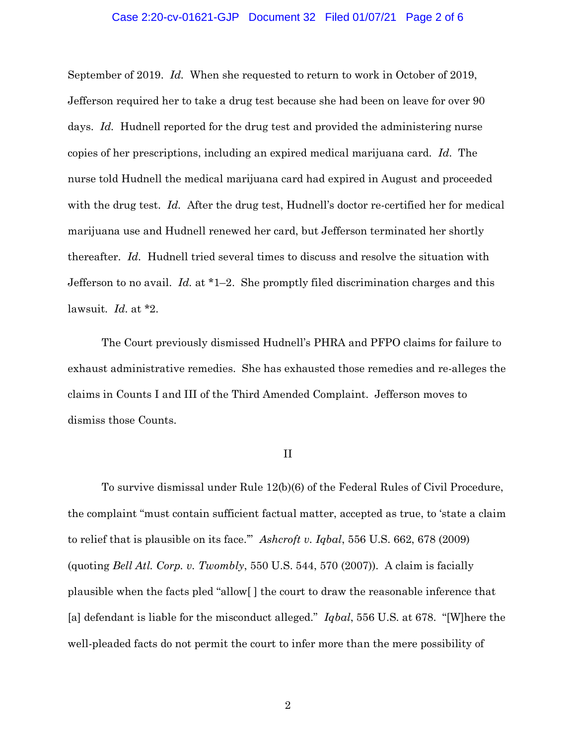### Case 2:20-cv-01621-GJP Document 32 Filed 01/07/21 Page 2 of 6

September of 2019. *Id.* When she requested to return to work in October of 2019, Jefferson required her to take a drug test because she had been on leave for over 90 days. *Id.* Hudnell reported for the drug test and provided the administering nurse copies of her prescriptions, including an expired medical marijuana card. *Id.* The nurse told Hudnell the medical marijuana card had expired in August and proceeded with the drug test. *Id.* After the drug test, Hudnell's doctor re-certified her for medical marijuana use and Hudnell renewed her card, but Jefferson terminated her shortly thereafter. *Id.* Hudnell tried several times to discuss and resolve the situation with Jefferson to no avail. *Id.* at \*1–2. She promptly filed discrimination charges and this lawsuit. *Id.* at \*2.

The Court previously dismissed Hudnell's PHRA and PFPO claims for failure to exhaust administrative remedies. She has exhausted those remedies and re-alleges the claims in Counts I and III of the Third Amended Complaint. Jefferson moves to dismiss those Counts.

#### II

To survive dismissal under Rule 12(b)(6) of the Federal Rules of Civil Procedure, the complaint "must contain sufficient factual matter, accepted as true, to 'state a claim to relief that is plausible on its face.'" *Ashcroft v. Iqbal*, 556 U.S. 662, 678 (2009) (quoting *Bell Atl. Corp. v. Twombly*, 550 U.S. 544, 570 (2007)). A claim is facially plausible when the facts pled "allow[ ] the court to draw the reasonable inference that [a] defendant is liable for the misconduct alleged." *Iqbal*, 556 U.S. at 678. "[W]here the well-pleaded facts do not permit the court to infer more than the mere possibility of

2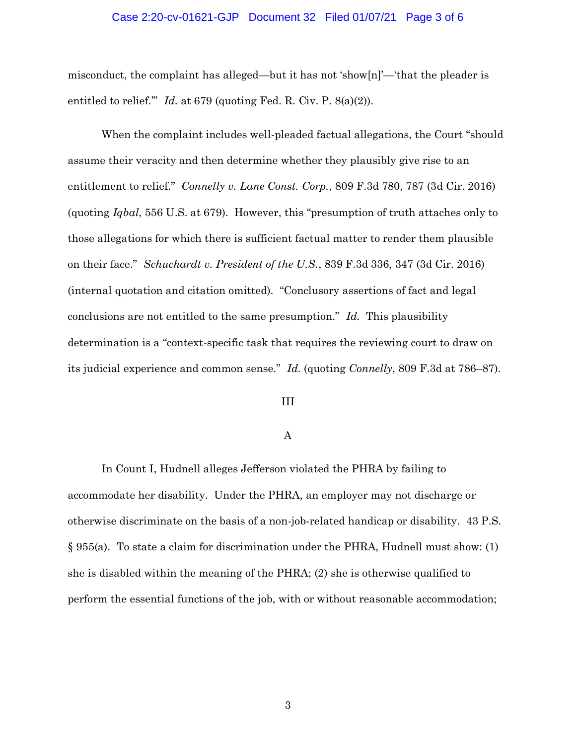### Case 2:20-cv-01621-GJP Document 32 Filed 01/07/21 Page 3 of 6

misconduct, the complaint has alleged—but it has not 'show[n]'—'that the pleader is entitled to relief." *Id.* at 679 (quoting Fed. R. Civ. P. 8(a)(2)).

When the complaint includes well-pleaded factual allegations, the Court "should assume their veracity and then determine whether they plausibly give rise to an entitlement to relief." *Connelly v. Lane Const. Corp.*, 809 F.3d 780, 787 (3d Cir. 2016) (quoting *Iqbal*, 556 U.S. at 679). However, this "presumption of truth attaches only to those allegations for which there is sufficient factual matter to render them plausible on their face." *Schuchardt v. President of the U.S.*, 839 F.3d 336, 347 (3d Cir. 2016) (internal quotation and citation omitted). "Conclusory assertions of fact and legal conclusions are not entitled to the same presumption." *Id.* This plausibility determination is a "context-specific task that requires the reviewing court to draw on its judicial experience and common sense." *Id.* (quoting *Connelly*, 809 F.3d at 786–87).

#### III

## A

In Count I, Hudnell alleges Jefferson violated the PHRA by failing to accommodate her disability. Under the PHRA, an employer may not discharge or otherwise discriminate on the basis of a non-job-related handicap or disability. 43 P.S. § 955(a). To state a claim for discrimination under the PHRA, Hudnell must show: (1) she is disabled within the meaning of the PHRA; (2) she is otherwise qualified to perform the essential functions of the job, with or without reasonable accommodation;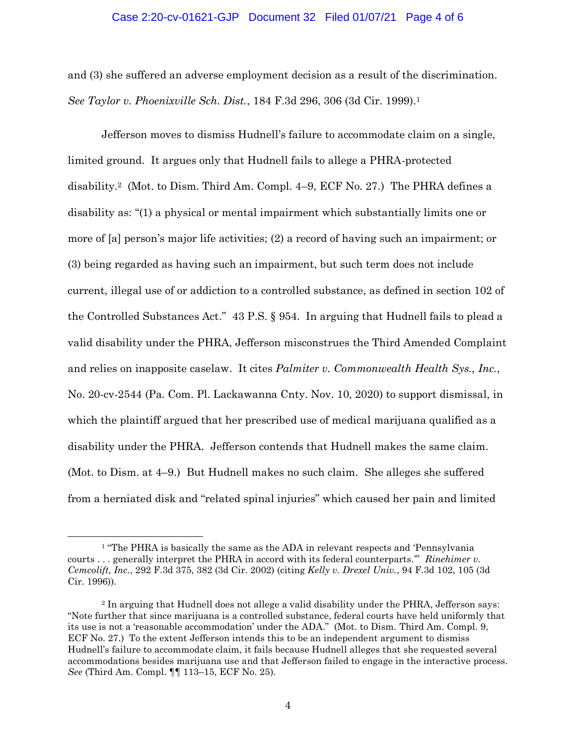## Case 2:20-cv-01621-GJP Document 32 Filed 01/07/21 Page 4 of 6

and (3) she suffered an adverse employment decision as a result of the discrimination. *See Taylor v. Phoenixville Sch. Dist.*, 184 F.3d 296, 306 (3d Cir. 1999).1

Jefferson moves to dismiss Hudnell's failure to accommodate claim on a single, limited ground. It argues only that Hudnell fails to allege a PHRA-protected disability.2 (Mot. to Dism. Third Am. Compl. 4–9, ECF No. 27.) The PHRA defines a disability as: "(1) a physical or mental impairment which substantially limits one or more of [a] person's major life activities; (2) a record of having such an impairment; or (3) being regarded as having such an impairment, but such term does not include current, illegal use of or addiction to a controlled substance, as defined in section 102 of the Controlled Substances Act." 43 P.S. § 954. In arguing that Hudnell fails to plead a valid disability under the PHRA, Jefferson misconstrues the Third Amended Complaint and relies on inapposite caselaw. It cites *Palmiter v. Commonwealth Health Sys., Inc.*, No. 20-cv-2544 (Pa. Com. Pl. Lackawanna Cnty. Nov. 10, 2020) to support dismissal, in which the plaintiff argued that her prescribed use of medical marijuana qualified as a disability under the PHRA. Jefferson contends that Hudnell makes the same claim. (Mot. to Dism. at 4–9.) But Hudnell makes no such claim. She alleges she suffered from a herniated disk and "related spinal injuries" which caused her pain and limited

<sup>&</sup>lt;sup>1</sup> "The PHRA is basically the same as the ADA in relevant respects and 'Pennsylvania courts . . . generally interpret the PHRA in accord with its federal counterparts.'" *Rinehimer v. Cemcolift, Inc.*, 292 F.3d 375, 382 (3d Cir. 2002) (citing *Kelly v. Drexel Univ.*, 94 F.3d 102, 105 (3d Cir. 1996)).

<sup>2</sup> In arguing that Hudnell does not allege a valid disability under the PHRA, Jefferson says: "Note further that since marijuana is a controlled substance, federal courts have held uniformly that its use is not a 'reasonable accommodation' under the ADA." (Mot. to Dism. Third Am. Compl. 9, ECF No. 27.) To the extent Jefferson intends this to be an independent argument to dismiss Hudnell's failure to accommodate claim, it fails because Hudnell alleges that she requested several accommodations besides marijuana use and that Jefferson failed to engage in the interactive process. *See* (Third Am. Compl. ¶¶ 113–15, ECF No. 25).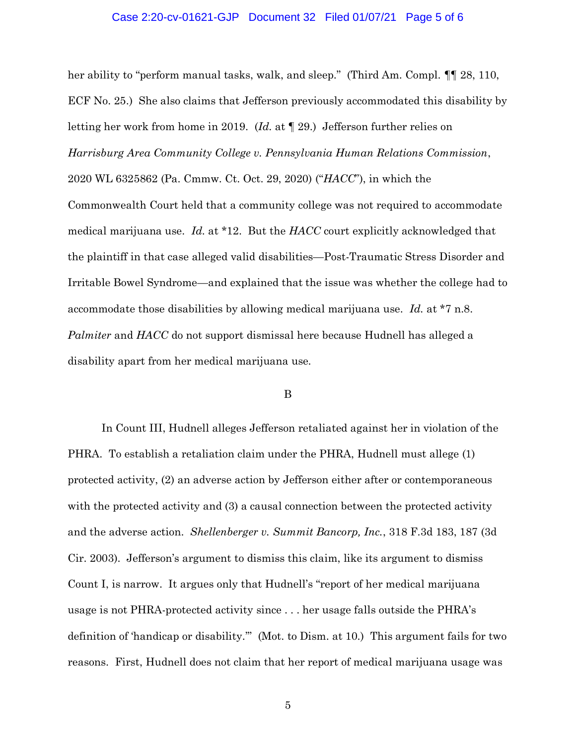## Case 2:20-cv-01621-GJP Document 32 Filed 01/07/21 Page 5 of 6

her ability to "perform manual tasks, walk, and sleep." (Third Am. Compl. 11, 28, 110, ECF No. 25.) She also claims that Jefferson previously accommodated this disability by letting her work from home in 2019. (*Id.* at ¶ 29.) Jefferson further relies on *Harrisburg Area Community College v. Pennsylvania Human Relations Commission*, 2020 WL 6325862 (Pa. Cmmw. Ct. Oct. 29, 2020) ("*HACC*"), in which the Commonwealth Court held that a community college was not required to accommodate medical marijuana use. *Id.* at \*12. But the *HACC* court explicitly acknowledged that the plaintiff in that case alleged valid disabilities—Post-Traumatic Stress Disorder and Irritable Bowel Syndrome—and explained that the issue was whether the college had to accommodate those disabilities by allowing medical marijuana use. *Id.* at \*7 n.8. *Palmiter* and *HACC* do not support dismissal here because Hudnell has alleged a disability apart from her medical marijuana use.

### B

In Count III, Hudnell alleges Jefferson retaliated against her in violation of the PHRA. To establish a retaliation claim under the PHRA, Hudnell must allege (1) protected activity, (2) an adverse action by Jefferson either after or contemporaneous with the protected activity and (3) a causal connection between the protected activity and the adverse action. *Shellenberger v. Summit Bancorp, Inc.*, 318 F.3d 183, 187 (3d Cir. 2003). Jefferson's argument to dismiss this claim, like its argument to dismiss Count I, is narrow. It argues only that Hudnell's "report of her medical marijuana usage is not PHRA-protected activity since . . . her usage falls outside the PHRA's definition of 'handicap or disability.'" (Mot. to Dism. at 10.) This argument fails for two reasons. First, Hudnell does not claim that her report of medical marijuana usage was

5